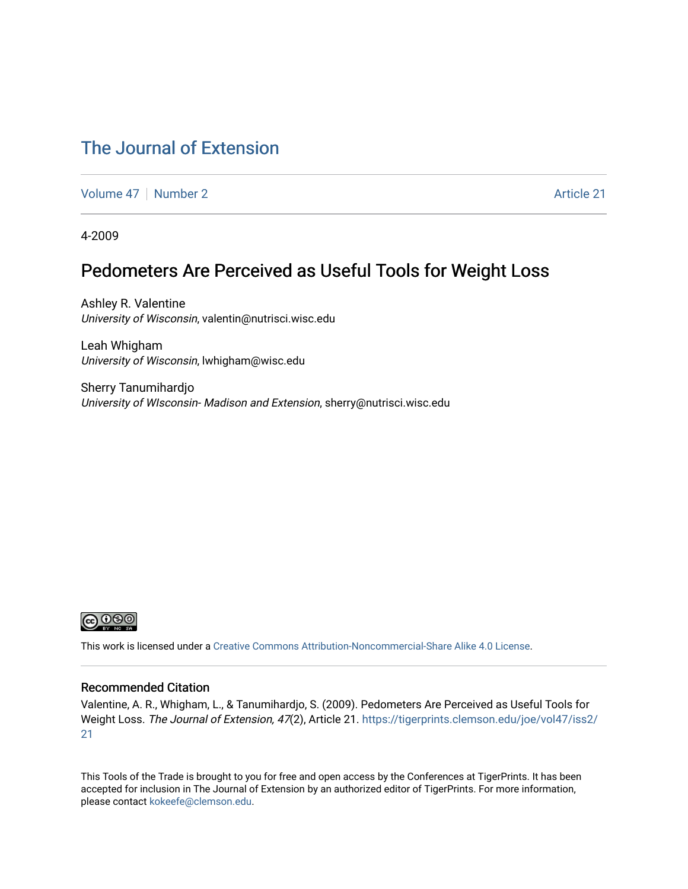### [The Journal of Extension](https://tigerprints.clemson.edu/joe)

[Volume 47](https://tigerprints.clemson.edu/joe/vol47) | [Number 2](https://tigerprints.clemson.edu/joe/vol47/iss2) Article 21

4-2009

### Pedometers Are Perceived as Useful Tools for Weight Loss

Ashley R. Valentine University of Wisconsin, valentin@nutrisci.wisc.edu

Leah Whigham University of Wisconsin, lwhigham@wisc.edu

Sherry Tanumihardjo University of WIsconsin- Madison and Extension, sherry@nutrisci.wisc.edu



This work is licensed under a [Creative Commons Attribution-Noncommercial-Share Alike 4.0 License.](https://creativecommons.org/licenses/by-nc-sa/4.0/)

#### Recommended Citation

Valentine, A. R., Whigham, L., & Tanumihardjo, S. (2009). Pedometers Are Perceived as Useful Tools for Weight Loss. The Journal of Extension, 47(2), Article 21. [https://tigerprints.clemson.edu/joe/vol47/iss2/](https://tigerprints.clemson.edu/joe/vol47/iss2/21) [21](https://tigerprints.clemson.edu/joe/vol47/iss2/21)

This Tools of the Trade is brought to you for free and open access by the Conferences at TigerPrints. It has been accepted for inclusion in The Journal of Extension by an authorized editor of TigerPrints. For more information, please contact [kokeefe@clemson.edu](mailto:kokeefe@clemson.edu).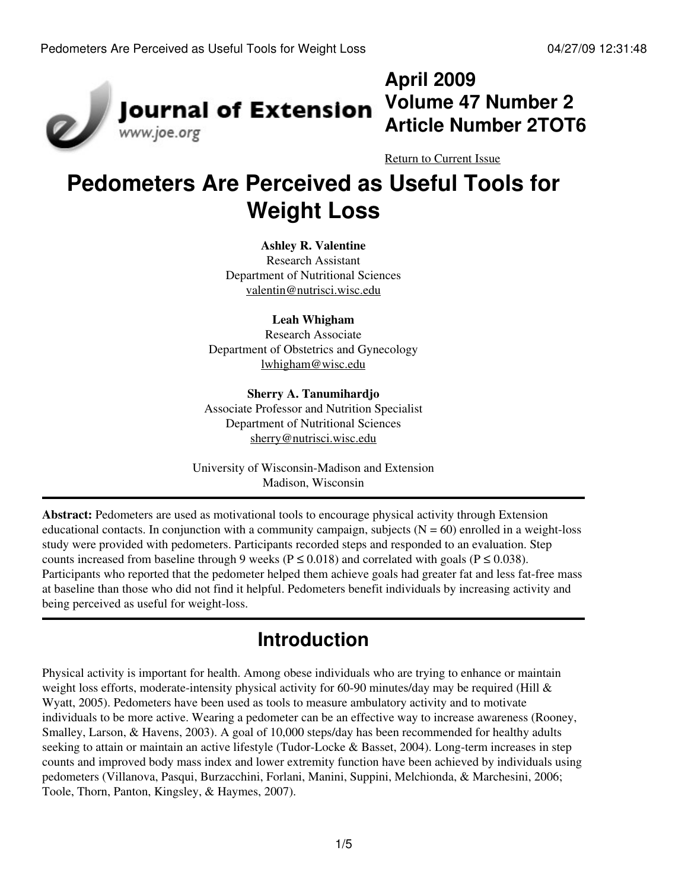

# **April 2009 Volume 47 Number 2 Article Number 2TOT6**

[Return to Current Issue](http://www.joe.org:80/joe/2009april/)

# **Pedometers Are Perceived as Useful Tools for Weight Loss**

#### **Ashley R. Valentine**

Research Assistant Department of Nutritional Sciences [valentin@nutrisci.wisc.edu](mailto:valentin@nutrisci.wisc.edu)

#### **Leah Whigham**

Research Associate Department of Obstetrics and Gynecology [lwhigham@wisc.edu](mailto:lwhigham@wisc.edu)

#### **Sherry A. Tanumihardjo**

Associate Professor and Nutrition Specialist Department of Nutritional Sciences [sherry@nutrisci.wisc.edu](mailto:sherry@nutrisci.wisc.edu)

University of Wisconsin-Madison and Extension Madison, Wisconsin

**Abstract:** Pedometers are used as motivational tools to encourage physical activity through Extension educational contacts. In conjunction with a community campaign, subjects  $(N = 60)$  enrolled in a weight-loss study were provided with pedometers. Participants recorded steps and responded to an evaluation. Step counts increased from baseline through 9 weeks ( $P \le 0.018$ ) and correlated with goals ( $P \le 0.038$ ). Participants who reported that the pedometer helped them achieve goals had greater fat and less fat-free mass at baseline than those who did not find it helpful. Pedometers benefit individuals by increasing activity and being perceived as useful for weight-loss.

### **Introduction**

Physical activity is important for health. Among obese individuals who are trying to enhance or maintain weight loss efforts, moderate-intensity physical activity for 60-90 minutes/day may be required (Hill & Wyatt, 2005). Pedometers have been used as tools to measure ambulatory activity and to motivate individuals to be more active. Wearing a pedometer can be an effective way to increase awareness (Rooney, Smalley, Larson, & Havens, 2003). A goal of 10,000 steps/day has been recommended for healthy adults seeking to attain or maintain an active lifestyle (Tudor-Locke & Basset, 2004). Long-term increases in step counts and improved body mass index and lower extremity function have been achieved by individuals using pedometers (Villanova, Pasqui, Burzacchini, Forlani, Manini, Suppini, Melchionda, & Marchesini, 2006; Toole, Thorn, Panton, Kingsley, & Haymes, 2007).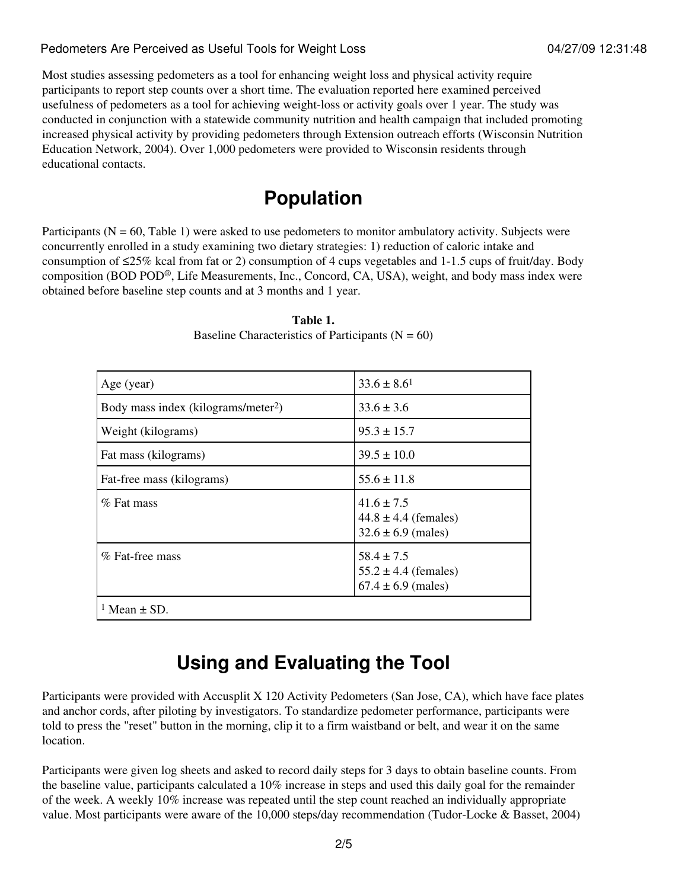#### Pedometers Are Perceived as Useful Tools for Weight Loss 604/27/09 12:31:48

Most studies assessing pedometers as a tool for enhancing weight loss and physical activity require participants to report step counts over a short time. The evaluation reported here examined perceived usefulness of pedometers as a tool for achieving weight-loss or activity goals over 1 year. The study was conducted in conjunction with a statewide community nutrition and health campaign that included promoting increased physical activity by providing pedometers through Extension outreach efforts (Wisconsin Nutrition Education Network, 2004). Over 1,000 pedometers were provided to Wisconsin residents through educational contacts.

### **Population**

Participants ( $N = 60$ , Table 1) were asked to use pedometers to monitor ambulatory activity. Subjects were concurrently enrolled in a study examining two dietary strategies: 1) reduction of caloric intake and consumption of  $\leq$ 25% kcal from fat or 2) consumption of 4 cups vegetables and 1-1.5 cups of fruit/day. Body composition (BOD POD®, Life Measurements, Inc., Concord, CA, USA), weight, and body mass index were obtained before baseline step counts and at 3 months and 1 year.

| Age (year)                                      | $33.6 \pm 8.6^1$                                                     |
|-------------------------------------------------|----------------------------------------------------------------------|
| Body mass index (kilograms/meter <sup>2</sup> ) | $33.6 \pm 3.6$                                                       |
| Weight (kilograms)                              | $95.3 \pm 15.7$                                                      |
| Fat mass (kilograms)                            | $39.5 \pm 10.0$                                                      |
| Fat-free mass (kilograms)                       | $55.6 \pm 11.8$                                                      |
| $%$ Fat mass                                    | $41.6 \pm 7.5$<br>$44.8 \pm 4.4$ (females)<br>$32.6 \pm 6.9$ (males) |
| % Fat-free mass                                 | $58.4 \pm 7.5$<br>$55.2 \pm 4.4$ (females)<br>$67.4 \pm 6.9$ (males) |
| <sup>1</sup> Mean $\pm$ SD.                     |                                                                      |

**Table 1.** Baseline Characteristics of Participants  $(N = 60)$ 

# **Using and Evaluating the Tool**

Participants were provided with Accusplit X 120 Activity Pedometers (San Jose, CA), which have face plates and anchor cords, after piloting by investigators. To standardize pedometer performance, participants were told to press the "reset" button in the morning, clip it to a firm waistband or belt, and wear it on the same location.

Participants were given log sheets and asked to record daily steps for 3 days to obtain baseline counts. From the baseline value, participants calculated a 10% increase in steps and used this daily goal for the remainder of the week. A weekly 10% increase was repeated until the step count reached an individually appropriate value. Most participants were aware of the 10,000 steps/day recommendation (Tudor-Locke & Basset, 2004)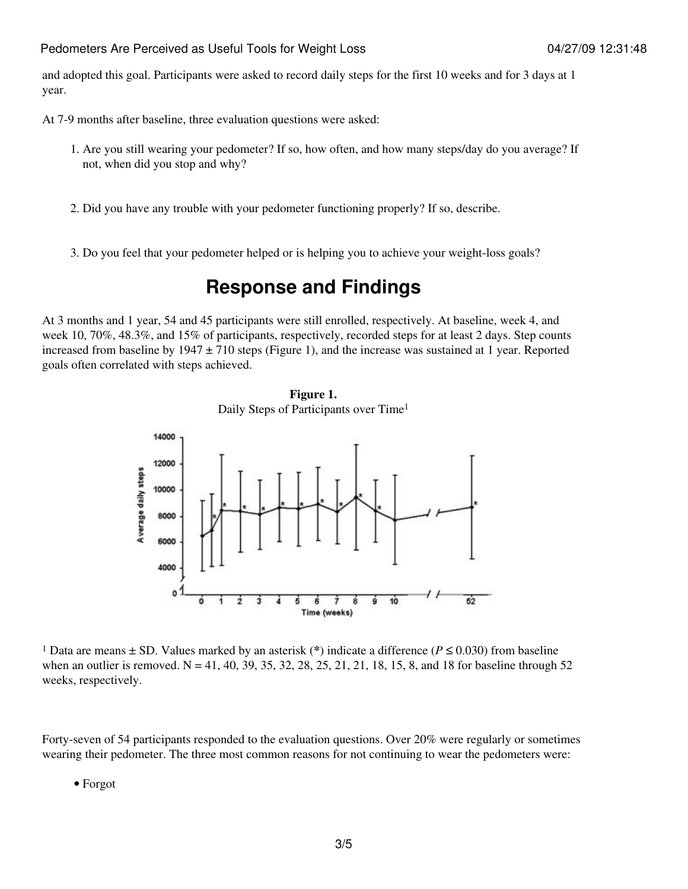and adopted this goal. Participants were asked to record daily steps for the first 10 weeks and for 3 days at 1 year.

At 7-9 months after baseline, three evaluation questions were asked:

- 1. Are you still wearing your pedometer? If so, how often, and how many steps/day do you average? If not, when did you stop and why?
- 2. Did you have any trouble with your pedometer functioning properly? If so, describe.
- 3. Do you feel that your pedometer helped or is helping you to achieve your weight-loss goals?

### **Response and Findings**

At 3 months and 1 year, 54 and 45 participants were still enrolled, respectively. At baseline, week 4, and week 10, 70%, 48.3%, and 15% of participants, respectively, recorded steps for at least 2 days. Step counts increased from baseline by  $1947 \pm 710$  steps (Figure 1), and the increase was sustained at 1 year. Reported goals often correlated with steps achieved.





<sup>1</sup> Data are means  $\pm$  SD. Values marked by an asterisk (\*) indicate a difference ( $P \le 0.030$ ) from baseline when an outlier is removed.  $N = 41, 40, 39, 35, 32, 28, 25, 21, 21, 18, 15, 8$ , and 18 for baseline through 52 weeks, respectively.

Forty-seven of 54 participants responded to the evaluation questions. Over 20% were regularly or sometimes wearing their pedometer. The three most common reasons for not continuing to wear the pedometers were:

• Forgot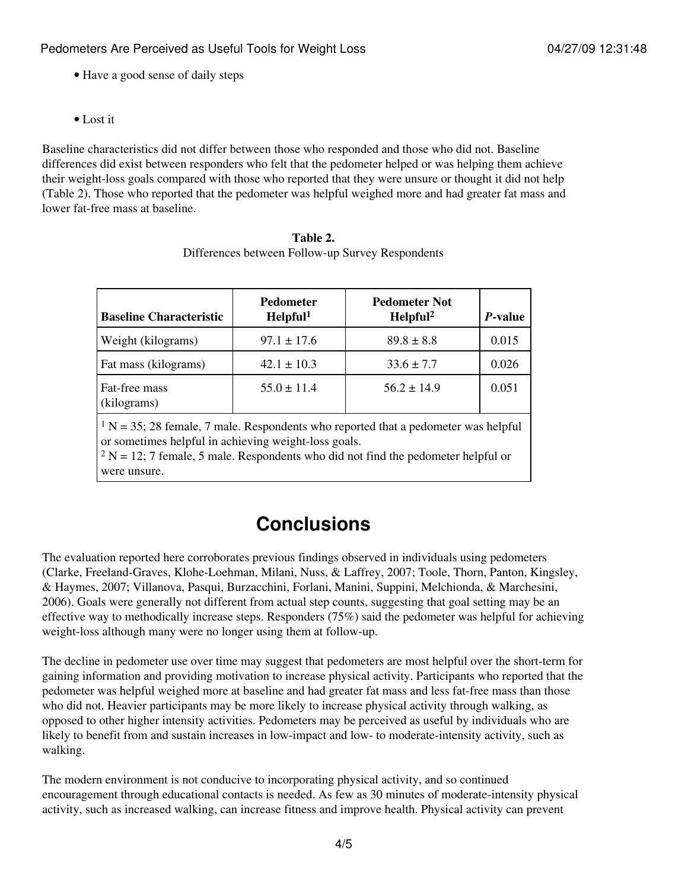- Have a good sense of daily steps
- Lost it

Baseline characteristics did not differ between those who responded and those who did not. Baseline differences did exist between responders who felt that the pedometer helped or was helping them achieve their weight-loss goals compared with those who reported that they were unsure or thought it did not help (Table 2). Those who reported that the pedometer was helpful weighed more and had greater fat mass and lower fat-free mass at baseline.

| <b>Baseline Characteristic</b>                                                                                                                                                                                                                        | <b>Pedometer</b><br>Helpful <sup>1</sup> | <b>Pedometer Not</b><br>Helpful <sup>2</sup> | <i>P</i> -value |
|-------------------------------------------------------------------------------------------------------------------------------------------------------------------------------------------------------------------------------------------------------|------------------------------------------|----------------------------------------------|-----------------|
| Weight (kilograms)                                                                                                                                                                                                                                    | $97.1 \pm 17.6$                          | $89.8 \pm 8.8$                               | 0.015           |
| Fat mass (kilograms)                                                                                                                                                                                                                                  | $42.1 \pm 10.3$                          | $33.6 \pm 7.7$                               | 0.026           |
| Fat-free mass<br>(kilograms)                                                                                                                                                                                                                          | $55.0 \pm 11.4$                          | $56.2 \pm 14.9$                              | 0.051           |
| $1 N = 35$ ; 28 female, 7 male. Respondents who reported that a pedometer was helpful<br>or sometimes helpful in achieving weight-loss goals.<br>$2 N = 12$ ; 7 female, 5 male. Respondents who did not find the pedometer helpful or<br>were unsure. |                                          |                                              |                 |

| Table 2.                                         |
|--------------------------------------------------|
| Differences between Follow-up Survey Respondents |

# **Conclusions**

The evaluation reported here corroborates previous findings observed in individuals using pedometers (Clarke, Freeland-Graves, Klohe-Loehman, Milani, Nuss, & Laffrey, 2007; Toole, Thorn, Panton, Kingsley, & Haymes, 2007; Villanova, Pasqui, Burzacchini, Forlani, Manini, Suppini, Melchionda, & Marchesini, 2006). Goals were generally not different from actual step counts, suggesting that goal setting may be an effective way to methodically increase steps. Responders (75%) said the pedometer was helpful for achieving weight-loss although many were no longer using them at follow-up.

The decline in pedometer use over time may suggest that pedometers are most helpful over the short-term for gaining information and providing motivation to increase physical activity. Participants who reported that the pedometer was helpful weighed more at baseline and had greater fat mass and less fat-free mass than those who did not. Heavier participants may be more likely to increase physical activity through walking, as opposed to other higher intensity activities. Pedometers may be perceived as useful by individuals who are likely to benefit from and sustain increases in low-impact and low- to moderate-intensity activity, such as walking.

The modern environment is not conducive to incorporating physical activity, and so continued encouragement through educational contacts is needed. As few as 30 minutes of moderate-intensity physical activity, such as increased walking, can increase fitness and improve health. Physical activity can prevent